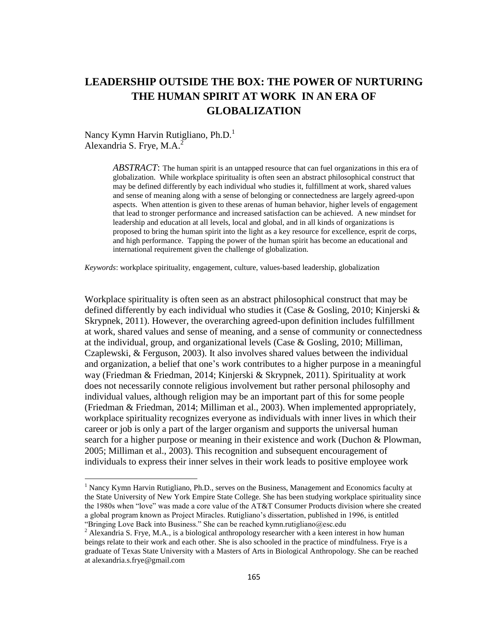# **LEADERSHIP OUTSIDE THE BOX: THE POWER OF NURTURING THE HUMAN SPIRIT AT WORK IN AN ERA OF GLOBALIZATION**

# Nancy Kymn Harvin Rutigliano, Ph.D.<sup>1</sup> Alexandria S. Frye, M.A.<sup>2</sup>

 $\overline{a}$ 

*ABSTRACT*: The human spirit is an untapped resource that can fuel organizations in this era of globalization. While workplace spirituality is often seen an abstract philosophical construct that may be defined differently by each individual who studies it, fulfillment at work, shared values and sense of meaning along with a sense of belonging or connectedness are largely agreed-upon aspects. When attention is given to these arenas of human behavior, higher levels of engagement that lead to stronger performance and increased satisfaction can be achieved. A new mindset for leadership and education at all levels, local and global, and in all kinds of organizations is proposed to bring the human spirit into the light as a key resource for excellence, esprit de corps, and high performance. Tapping the power of the human spirit has become an educational and international requirement given the challenge of globalization.

*Keywords*: workplace spirituality, engagement, culture, values-based leadership, globalization

Workplace spirituality is often seen as an abstract philosophical construct that may be defined differently by each individual who studies it (Case & Gosling, 2010; Kinjerski & Skrypnek, 2011). However, the overarching agreed-upon definition includes fulfillment at work, shared values and sense of meaning, and a sense of community or connectedness at the individual, group, and organizational levels (Case & Gosling, 2010; Milliman, Czaplewski, & Ferguson, 2003). It also involves shared values between the individual and organization, a belief that one's work contributes to a higher purpose in a meaningful way (Friedman & Friedman, 2014; Kinjerski & Skrypnek, 2011). Spirituality at work does not necessarily connote religious involvement but rather personal philosophy and individual values, although religion may be an important part of this for some people (Friedman & Friedman, 2014; Milliman et al., 2003). When implemented appropriately, workplace spirituality recognizes everyone as individuals with inner lives in which their career or job is only a part of the larger organism and supports the universal human search for a higher purpose or meaning in their existence and work (Duchon & Plowman, 2005; Milliman et al., 2003). This recognition and subsequent encouragement of individuals to express their inner selves in their work leads to positive employee work

<sup>&</sup>lt;sup>1</sup> Nancy Kymn Harvin Rutigliano, Ph.D., serves on the Business, Management and Economics faculty at the State University of New York Empire State College. She has been studying workplace spirituality since the 1980s when "love" was made a core value of the AT&T Consumer Products division where she created a global program known as Project Miracles. Rutigliano's dissertation, published in 1996, is entitled "Bringing Love Back into Business." She can be reached kymn.rutigliano@esc.edu

 $2$  Alexandria S. Frye, M.A., is a biological anthropology researcher with a keen interest in how human beings relate to their work and each other. She is also schooled in the practice of mindfulness. Frye is a graduate of Texas State University with a Masters of Arts in Biological Anthropology. She can be reached at alexandria.s.frye@gmail.com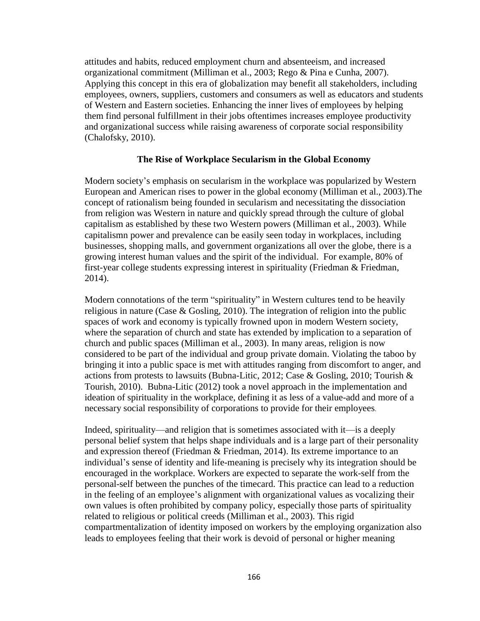attitudes and habits, reduced employment churn and absenteeism, and increased organizational commitment (Milliman et al., 2003; Rego & Pina e Cunha, 2007). Applying this concept in this era of globalization may benefit all stakeholders, including employees, owners, suppliers, customers and consumers as well as educators and students of Western and Eastern societies. Enhancing the inner lives of employees by helping them find personal fulfillment in their jobs oftentimes increases employee productivity and organizational success while raising awareness of corporate social responsibility (Chalofsky, 2010).

### **The Rise of Workplace Secularism in the Global Economy**

Modern society's emphasis on secularism in the workplace was popularized by Western European and American rises to power in the global economy (Milliman et al., 2003).The concept of rationalism being founded in secularism and necessitating the dissociation from religion was Western in nature and quickly spread through the culture of global capitalism as established by these two Western powers (Milliman et al., 2003). While capitalismn power and prevalence can be easily seen today in workplaces, including businesses, shopping malls, and government organizations all over the globe, there is a growing interest human values and the spirit of the individual. For example, 80% of first-year college students expressing interest in spirituality (Friedman & Friedman, 2014).

Modern connotations of the term "spirituality" in Western cultures tend to be heavily religious in nature (Case  $&$  Gosling, 2010). The integration of religion into the public spaces of work and economy is typically frowned upon in modern Western society, where the separation of church and state has extended by implication to a separation of church and public spaces (Milliman et al., 2003). In many areas, religion is now considered to be part of the individual and group private domain. Violating the taboo by bringing it into a public space is met with attitudes ranging from discomfort to anger, and actions from protests to lawsuits (Bubna-Litic, 2012; Case & Gosling, 2010; Tourish & Tourish, 2010). Bubna-Litic (2012) took a novel approach in the implementation and ideation of spirituality in the workplace, defining it as less of a value-add and more of a necessary social responsibility of corporations to provide for their employees.

Indeed, spirituality—and religion that is sometimes associated with it—is a deeply personal belief system that helps shape individuals and is a large part of their personality and expression thereof (Friedman & Friedman, 2014). Its extreme importance to an individual's sense of identity and life-meaning is precisely why its integration should be encouraged in the workplace. Workers are expected to separate the work-self from the personal-self between the punches of the timecard. This practice can lead to a reduction in the feeling of an employee's alignment with organizational values as vocalizing their own values is often prohibited by company policy, especially those parts of spirituality related to religious or political creeds (Milliman et al., 2003). This rigid compartmentalization of identity imposed on workers by the employing organization also leads to employees feeling that their work is devoid of personal or higher meaning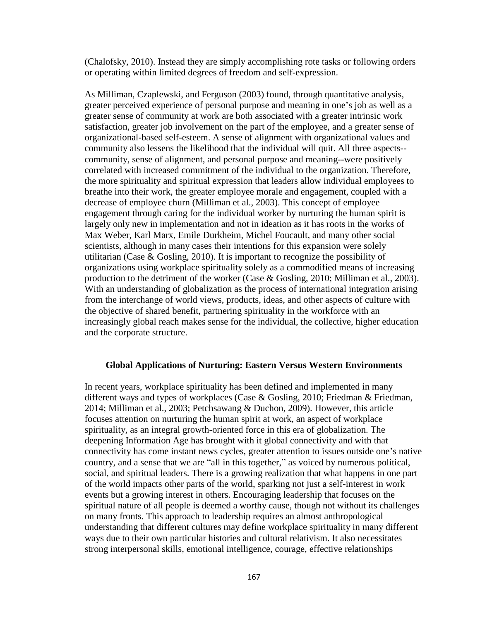(Chalofsky, 2010). Instead they are simply accomplishing rote tasks or following orders or operating within limited degrees of freedom and self-expression.

As Milliman, Czaplewski, and Ferguson (2003) found, through quantitative analysis, greater perceived experience of personal purpose and meaning in one's job as well as a greater sense of community at work are both associated with a greater intrinsic work satisfaction, greater job involvement on the part of the employee, and a greater sense of organizational-based self-esteem. A sense of alignment with organizational values and community also lessens the likelihood that the individual will quit. All three aspects- community, sense of alignment, and personal purpose and meaning--were positively correlated with increased commitment of the individual to the organization. Therefore, the more spirituality and spiritual expression that leaders allow individual employees to breathe into their work, the greater employee morale and engagement, coupled with a decrease of employee churn (Milliman et al., 2003). This concept of employee engagement through caring for the individual worker by nurturing the human spirit is largely only new in implementation and not in ideation as it has roots in the works of Max Weber, Karl Marx, Emile Durkheim, Michel Foucault, and many other social scientists, although in many cases their intentions for this expansion were solely utilitarian (Case  $&$  Gosling, 2010). It is important to recognize the possibility of organizations using workplace spirituality solely as a commodified means of increasing production to the detriment of the worker (Case & Gosling, 2010; Milliman et al., 2003). With an understanding of globalization as the process of international integration arising from the interchange of world views, products, ideas, and other aspects of culture with the objective of shared benefit, partnering spirituality in the workforce with an increasingly global reach makes sense for the individual, the collective, higher education and the corporate structure.

#### **Global Applications of Nurturing: Eastern Versus Western Environments**

In recent years, workplace spirituality has been defined and implemented in many different ways and types of workplaces (Case & Gosling, 2010; Friedman & Friedman, 2014; Milliman et al., 2003; Petchsawang & Duchon, 2009). However, this article focuses attention on nurturing the human spirit at work, an aspect of workplace spirituality, as an integral growth-oriented force in this era of globalization. The deepening Information Age has brought with it global connectivity and with that connectivity has come instant news cycles, greater attention to issues outside one's native country, and a sense that we are "all in this together," as voiced by numerous political, social, and spiritual leaders. There is a growing realization that what happens in one part of the world impacts other parts of the world, sparking not just a self-interest in work events but a growing interest in others. Encouraging leadership that focuses on the spiritual nature of all people is deemed a worthy cause, though not without its challenges on many fronts. This approach to leadership requires an almost anthropological understanding that different cultures may define workplace spirituality in many different ways due to their own particular histories and cultural relativism. It also necessitates strong interpersonal skills, emotional intelligence, courage, effective relationships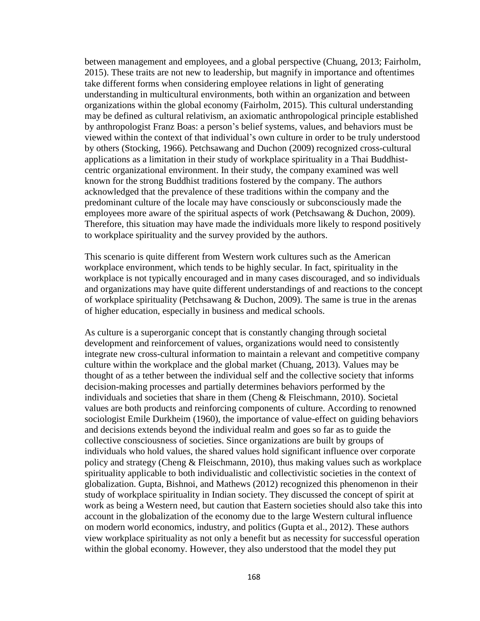between management and employees, and a global perspective (Chuang, 2013; Fairholm, 2015). These traits are not new to leadership, but magnify in importance and oftentimes take different forms when considering employee relations in light of generating understanding in multicultural environments, both within an organization and between organizations within the global economy (Fairholm, 2015). This cultural understanding may be defined as cultural relativism, an axiomatic anthropological principle established by anthropologist Franz Boas: a person's belief systems, values, and behaviors must be viewed within the context of that individual's own culture in order to be truly understood by others (Stocking, 1966). Petchsawang and Duchon (2009) recognized cross-cultural applications as a limitation in their study of workplace spirituality in a Thai Buddhistcentric organizational environment. In their study, the company examined was well known for the strong Buddhist traditions fostered by the company. The authors acknowledged that the prevalence of these traditions within the company and the predominant culture of the locale may have consciously or subconsciously made the employees more aware of the spiritual aspects of work (Petchsawang & Duchon, 2009). Therefore, this situation may have made the individuals more likely to respond positively to workplace spirituality and the survey provided by the authors.

This scenario is quite different from Western work cultures such as the American workplace environment, which tends to be highly secular. In fact, spirituality in the workplace is not typically encouraged and in many cases discouraged, and so individuals and organizations may have quite different understandings of and reactions to the concept of workplace spirituality (Petchsawang & Duchon, 2009). The same is true in the arenas of higher education, especially in business and medical schools.

As culture is a superorganic concept that is constantly changing through societal development and reinforcement of values, organizations would need to consistently integrate new cross-cultural information to maintain a relevant and competitive company culture within the workplace and the global market (Chuang, 2013). Values may be thought of as a tether between the individual self and the collective society that informs decision-making processes and partially determines behaviors performed by the individuals and societies that share in them (Cheng & Fleischmann, 2010). Societal values are both products and reinforcing components of culture. According to renowned sociologist Emile Durkheim (1960), the importance of value-effect on guiding behaviors and decisions extends beyond the individual realm and goes so far as to guide the collective consciousness of societies. Since organizations are built by groups of individuals who hold values, the shared values hold significant influence over corporate policy and strategy (Cheng & Fleischmann, 2010), thus making values such as workplace spirituality applicable to both individualistic and collectivistic societies in the context of globalization. Gupta, Bishnoi, and Mathews (2012) recognized this phenomenon in their study of workplace spirituality in Indian society. They discussed the concept of spirit at work as being a Western need, but caution that Eastern societies should also take this into account in the globalization of the economy due to the large Western cultural influence on modern world economics, industry, and politics (Gupta et al., 2012). These authors view workplace spirituality as not only a benefit but as necessity for successful operation within the global economy. However, they also understood that the model they put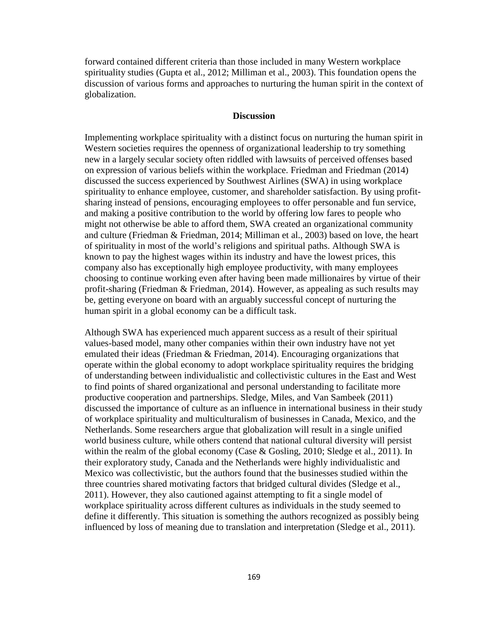forward contained different criteria than those included in many Western workplace spirituality studies (Gupta et al., 2012; Milliman et al., 2003). This foundation opens the discussion of various forms and approaches to nurturing the human spirit in the context of globalization.

## **Discussion**

Implementing workplace spirituality with a distinct focus on nurturing the human spirit in Western societies requires the openness of organizational leadership to try something new in a largely secular society often riddled with lawsuits of perceived offenses based on expression of various beliefs within the workplace. Friedman and Friedman (2014) discussed the success experienced by Southwest Airlines (SWA) in using workplace spirituality to enhance employee, customer, and shareholder satisfaction. By using profitsharing instead of pensions, encouraging employees to offer personable and fun service, and making a positive contribution to the world by offering low fares to people who might not otherwise be able to afford them, SWA created an organizational community and culture (Friedman & Friedman, 2014; Milliman et al., 2003) based on love, the heart of spirituality in most of the world's religions and spiritual paths. Although SWA is known to pay the highest wages within its industry and have the lowest prices, this company also has exceptionally high employee productivity, with many employees choosing to continue working even after having been made millionaires by virtue of their profit-sharing (Friedman & Friedman, 2014). However, as appealing as such results may be, getting everyone on board with an arguably successful concept of nurturing the human spirit in a global economy can be a difficult task.

Although SWA has experienced much apparent success as a result of their spiritual values-based model, many other companies within their own industry have not yet emulated their ideas (Friedman & Friedman, 2014). Encouraging organizations that operate within the global economy to adopt workplace spirituality requires the bridging of understanding between individualistic and collectivistic cultures in the East and West to find points of shared organizational and personal understanding to facilitate more productive cooperation and partnerships. Sledge, Miles, and Van Sambeek (2011) discussed the importance of culture as an influence in international business in their study of workplace spirituality and multiculturalism of businesses in Canada, Mexico, and the Netherlands. Some researchers argue that globalization will result in a single unified world business culture, while others contend that national cultural diversity will persist within the realm of the global economy (Case & Gosling, 2010; Sledge et al., 2011). In their exploratory study, Canada and the Netherlands were highly individualistic and Mexico was collectivistic, but the authors found that the businesses studied within the three countries shared motivating factors that bridged cultural divides (Sledge et al., 2011). However, they also cautioned against attempting to fit a single model of workplace spirituality across different cultures as individuals in the study seemed to define it differently. This situation is something the authors recognized as possibly being influenced by loss of meaning due to translation and interpretation (Sledge et al., 2011).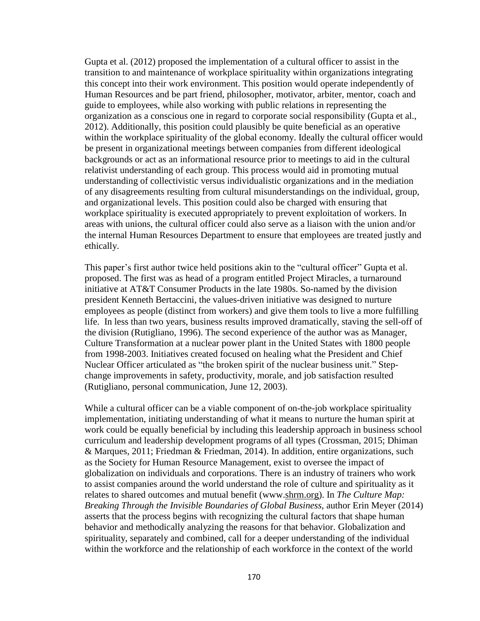Gupta et al. (2012) proposed the implementation of a cultural officer to assist in the transition to and maintenance of workplace spirituality within organizations integrating this concept into their work environment. This position would operate independently of Human Resources and be part friend, philosopher, motivator, arbiter, mentor, coach and guide to employees, while also working with public relations in representing the organization as a conscious one in regard to corporate social responsibility (Gupta et al., 2012). Additionally, this position could plausibly be quite beneficial as an operative within the workplace spirituality of the global economy. Ideally the cultural officer would be present in organizational meetings between companies from different ideological backgrounds or act as an informational resource prior to meetings to aid in the cultural relativist understanding of each group. This process would aid in promoting mutual understanding of collectivistic versus individualistic organizations and in the mediation of any disagreements resulting from cultural misunderstandings on the individual, group, and organizational levels. This position could also be charged with ensuring that workplace spirituality is executed appropriately to prevent exploitation of workers. In areas with unions, the cultural officer could also serve as a liaison with the union and/or the internal Human Resources Department to ensure that employees are treated justly and ethically.

This paper's first author twice held positions akin to the "cultural officer" Gupta et al. proposed. The first was as head of a program entitled Project Miracles, a turnaround initiative at AT&T Consumer Products in the late 1980s. So-named by the division president Kenneth Bertaccini, the values-driven initiative was designed to nurture employees as people (distinct from workers) and give them tools to live a more fulfilling life. In less than two years, business results improved dramatically, staving the sell-off of the division (Rutigliano, 1996). The second experience of the author was as Manager, Culture Transformation at a nuclear power plant in the United States with 1800 people from 1998-2003. Initiatives created focused on healing what the President and Chief Nuclear Officer articulated as "the broken spirit of the nuclear business unit." Stepchange improvements in safety, productivity, morale, and job satisfaction resulted (Rutigliano, personal communication, June 12, 2003).

While a cultural officer can be a viable component of on-the-job workplace spirituality implementation, initiating understanding of what it means to nurture the human spirit at work could be equally beneficial by including this leadership approach in business school curriculum and leadership development programs of all types (Crossman, 2015; Dhiman & Marques, 2011; Friedman & Friedman, 2014). In addition, entire organizations, such as the Society for Human Resource Management, exist to oversee the impact of globalization on individuals and corporations. There is an industry of trainers who work to assist companies around the world understand the role of culture and spirituality as it relates to shared outcomes and mutual benefit (www[.shrm.org\)](http://shrm.org/). In *The Culture Map: Breaking Through the Invisible Boundaries of Global Business*, author Erin Meyer (2014) asserts that the process begins with recognizing the cultural factors that shape human behavior and methodically analyzing the reasons for that behavior. Globalization and spirituality, separately and combined, call for a deeper understanding of the individual within the workforce and the relationship of each workforce in the context of the world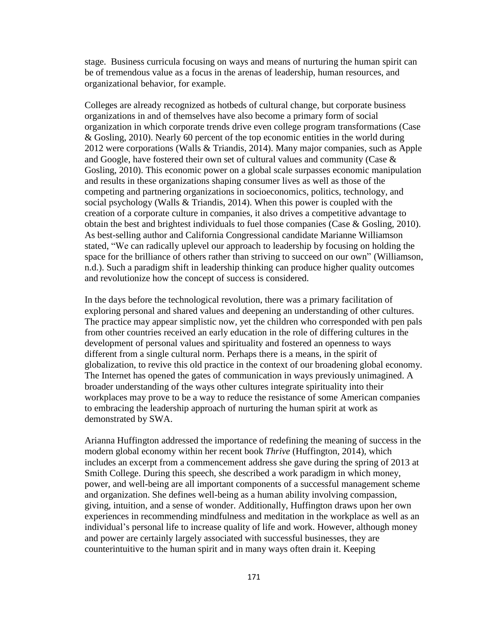stage. Business curricula focusing on ways and means of nurturing the human spirit can be of tremendous value as a focus in the arenas of leadership, human resources, and organizational behavior, for example.

Colleges are already recognized as hotbeds of cultural change, but corporate business organizations in and of themselves have also become a primary form of social organization in which corporate trends drive even college program transformations (Case & Gosling, 2010). Nearly 60 percent of the top economic entities in the world during 2012 were corporations (Walls & Triandis, 2014). Many major companies, such as Apple and Google, have fostered their own set of cultural values and community (Case & Gosling, 2010). This economic power on a global scale surpasses economic manipulation and results in these organizations shaping consumer lives as well as those of the competing and partnering organizations in socioeconomics, politics, technology, and social psychology (Walls & Triandis, 2014). When this power is coupled with the creation of a corporate culture in companies, it also drives a competitive advantage to obtain the best and brightest individuals to fuel those companies (Case & Gosling, 2010). As best-selling author and California Congressional candidate Marianne Williamson stated, "We can radically uplevel our approach to leadership by focusing on holding the space for the brilliance of others rather than striving to succeed on our own" (Williamson, n.d.). Such a paradigm shift in leadership thinking can produce higher quality outcomes and revolutionize how the concept of success is considered.

In the days before the technological revolution, there was a primary facilitation of exploring personal and shared values and deepening an understanding of other cultures. The practice may appear simplistic now, yet the children who corresponded with pen pals from other countries received an early education in the role of differing cultures in the development of personal values and spirituality and fostered an openness to ways different from a single cultural norm. Perhaps there is a means, in the spirit of globalization, to revive this old practice in the context of our broadening global economy. The Internet has opened the gates of communication in ways previously unimagined. A broader understanding of the ways other cultures integrate spirituality into their workplaces may prove to be a way to reduce the resistance of some American companies to embracing the leadership approach of nurturing the human spirit at work as demonstrated by SWA.

Arianna Huffington addressed the importance of redefining the meaning of success in the modern global economy within her recent book *Thrive* (Huffington, 2014), which includes an excerpt from a commencement address she gave during the spring of 2013 at Smith College. During this speech, she described a work paradigm in which money, power, and well-being are all important components of a successful management scheme and organization. She defines well-being as a human ability involving compassion, giving, intuition, and a sense of wonder. Additionally, Huffington draws upon her own experiences in recommending mindfulness and meditation in the workplace as well as an individual's personal life to increase quality of life and work. However, although money and power are certainly largely associated with successful businesses, they are counterintuitive to the human spirit and in many ways often drain it. Keeping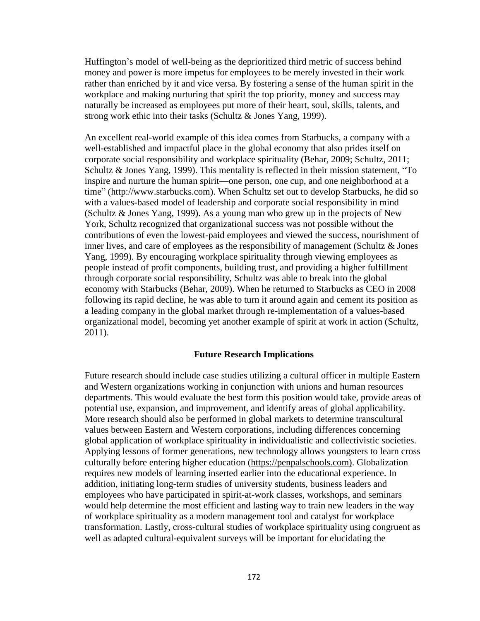Huffington's model of well-being as the deprioritized third metric of success behind money and power is more impetus for employees to be merely invested in their work rather than enriched by it and vice versa. By fostering a sense of the human spirit in the workplace and making nurturing that spirit the top priority, money and success may naturally be increased as employees put more of their heart, soul, skills, talents, and strong work ethic into their tasks (Schultz & Jones Yang, 1999).

An excellent real-world example of this idea comes from Starbucks, a company with a well-established and impactful place in the global economy that also prides itself on corporate social responsibility and workplace spirituality (Behar, 2009; Schultz, 2011; Schultz & Jones Yang, 1999). This mentality is reflected in their mission statement, "To inspire and nurture the human spirit—one person, one cup, and one neighborhood at a time" (http://www.starbucks.com). When Schultz set out to develop Starbucks, he did so with a values-based model of leadership and corporate social responsibility in mind (Schultz & Jones Yang, 1999). As a young man who grew up in the projects of New York, Schultz recognized that organizational success was not possible without the contributions of even the lowest-paid employees and viewed the success, nourishment of inner lives, and care of employees as the responsibility of management (Schultz  $\&$  Jones Yang, 1999). By encouraging workplace spirituality through viewing employees as people instead of profit components, building trust, and providing a higher fulfillment through corporate social responsibility, Schultz was able to break into the global economy with Starbucks (Behar, 2009). When he returned to Starbucks as CEO in 2008 following its rapid decline, he was able to turn it around again and cement its position as a leading company in the global market through re-implementation of a values-based organizational model, becoming yet another example of spirit at work in action (Schultz, 2011).

#### **Future Research Implications**

Future research should include case studies utilizing a cultural officer in multiple Eastern and Western organizations working in conjunction with unions and human resources departments. This would evaluate the best form this position would take, provide areas of potential use, expansion, and improvement, and identify areas of global applicability. More research should also be performed in global markets to determine transcultural values between Eastern and Western corporations, including differences concerning global application of workplace spirituality in individualistic and collectivistic societies. Applying lessons of former generations, new technology allows youngsters to learn cross culturally before entering higher education (https://penpalschools.com). Globalization requires new models of learning inserted earlier into the educational experience. In addition, initiating long-term studies of university students, business leaders and employees who have participated in spirit-at-work classes, workshops, and seminars would help determine the most efficient and lasting way to train new leaders in the way of workplace spirituality as a modern management tool and catalyst for workplace transformation. Lastly, cross-cultural studies of workplace spirituality using congruent as well as adapted cultural-equivalent surveys will be important for elucidating the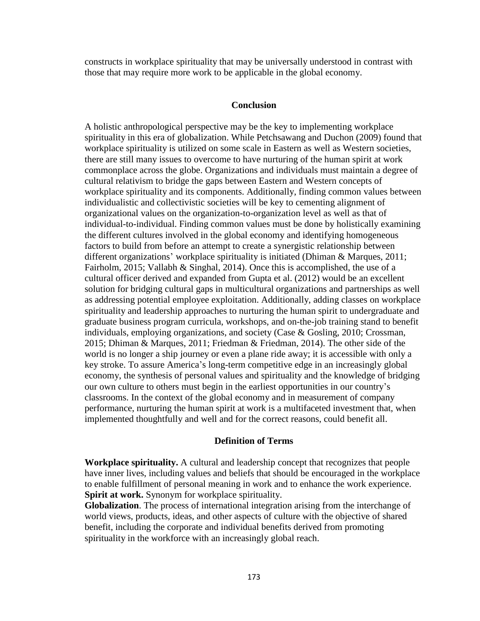constructs in workplace spirituality that may be universally understood in contrast with those that may require more work to be applicable in the global economy.

## **Conclusion**

A holistic anthropological perspective may be the key to implementing workplace spirituality in this era of globalization. While Petchsawang and Duchon (2009) found that workplace spirituality is utilized on some scale in Eastern as well as Western societies, there are still many issues to overcome to have nurturing of the human spirit at work commonplace across the globe. Organizations and individuals must maintain a degree of cultural relativism to bridge the gaps between Eastern and Western concepts of workplace spirituality and its components. Additionally, finding common values between individualistic and collectivistic societies will be key to cementing alignment of organizational values on the organization-to-organization level as well as that of individual-to-individual. Finding common values must be done by holistically examining the different cultures involved in the global economy and identifying homogeneous factors to build from before an attempt to create a synergistic relationship between different organizations' workplace spirituality is initiated (Dhiman & Marques, 2011; Fairholm, 2015; Vallabh & Singhal, 2014). Once this is accomplished, the use of a cultural officer derived and expanded from Gupta et al. (2012) would be an excellent solution for bridging cultural gaps in multicultural organizations and partnerships as well as addressing potential employee exploitation. Additionally, adding classes on workplace spirituality and leadership approaches to nurturing the human spirit to undergraduate and graduate business program curricula, workshops, and on-the-job training stand to benefit individuals, employing organizations, and society (Case & Gosling, 2010; Crossman, 2015; Dhiman & Marques, 2011; Friedman & Friedman, 2014). The other side of the world is no longer a ship journey or even a plane ride away; it is accessible with only a key stroke. To assure America's long-term competitive edge in an increasingly global economy, the synthesis of personal values and spirituality and the knowledge of bridging our own culture to others must begin in the earliest opportunities in our country's classrooms. In the context of the global economy and in measurement of company performance, nurturing the human spirit at work is a multifaceted investment that, when implemented thoughtfully and well and for the correct reasons, could benefit all.

#### **Definition of Terms**

**Workplace spirituality.** A cultural and leadership concept that recognizes that people have inner lives, including values and beliefs that should be encouraged in the workplace to enable fulfillment of personal meaning in work and to enhance the work experience. **Spirit at work.** Synonym for workplace spirituality.

**Globalization**. The process of international integration arising from the interchange of world views, products, ideas, and other aspects of culture with the objective of shared benefit, including the corporate and individual benefits derived from promoting spirituality in the workforce with an increasingly global reach.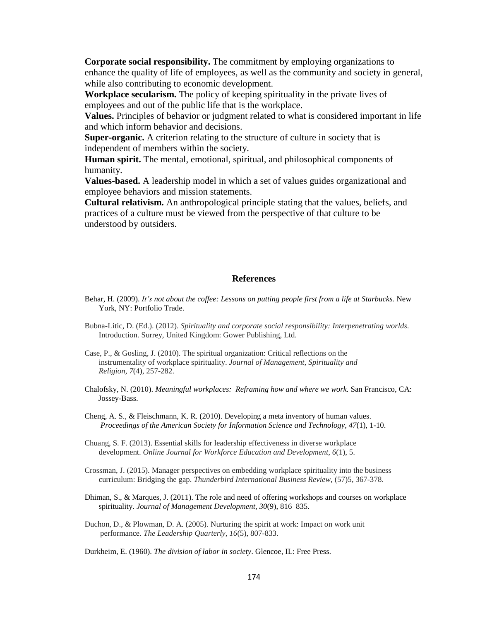**Corporate social responsibility.** The commitment by employing organizations to enhance the quality of life of employees, as well as the community and society in general, while also contributing to economic development.

**Workplace secularism.** The policy of keeping spirituality in the private lives of employees and out of the public life that is the workplace.

**Values.** Principles of behavior or judgment related to what is considered important in life and which inform behavior and decisions.

**Super-organic.** A criterion relating to the structure of culture in society that is independent of members within the society.

**Human spirit.** The mental, emotional, spiritual, and philosophical components of humanity.

**Values-based.** A leadership model in which a set of values guides organizational and employee behaviors and mission statements.

**Cultural relativism.** An anthropological principle stating that the values, beliefs, and practices of a culture must be viewed from the perspective of that culture to be understood by outsiders.

#### **References**

- Behar, H. (2009). *It's not about the coffee: Lessons on putting people first from a life at Starbucks.* New York, NY: Portfolio Trade.
- Bubna-Litic, D. (Ed.). (2012). *Spirituality and corporate social responsibility: Interpenetrating worlds*. Introduction. Surrey, United Kingdom: Gower Publishing, Ltd.
- Case, P., & Gosling, J. (2010). The spiritual organization: Critical reflections on the instrumentality of workplace spirituality. *Journal of Management, Spirituality and Religion*, *7*(4), 257-282.
- Chalofsky, N. (2010). *Meaningful workplaces: Reframing how and where we work.* San Francisco, CA: Jossey-Bass.

Cheng, A. S., & Fleischmann, K. R. (2010). Developing a meta inventory of human values.  *Proceedings of the American Society for Information Science and Technology*, *47*(1), 1-10.

- Chuang, S. F. (2013). Essential skills for leadership effectiveness in diverse workplace development. *Online Journal for Workforce Education and Development*, *6*(1), 5.
- Crossman, J. (2015). Manager perspectives on embedding workplace spirituality into the business curriculum: Bridging the gap. *Thunderbird International Business Review*, (57)5, 367-378.
- Dhiman, S., & Marques, J. (2011). The role and need of offering workshops and courses on workplace spirituality. *Journal of Management Development, 30*(9), 816–835.
- Duchon, D., & Plowman, D. A. (2005). Nurturing the spirit at work: Impact on work unit performance. *The Leadership Quarterly*, *16*(5), 807-833.

Durkheim, E. (1960). *The division of labor in society*. Glencoe, IL: Free Press.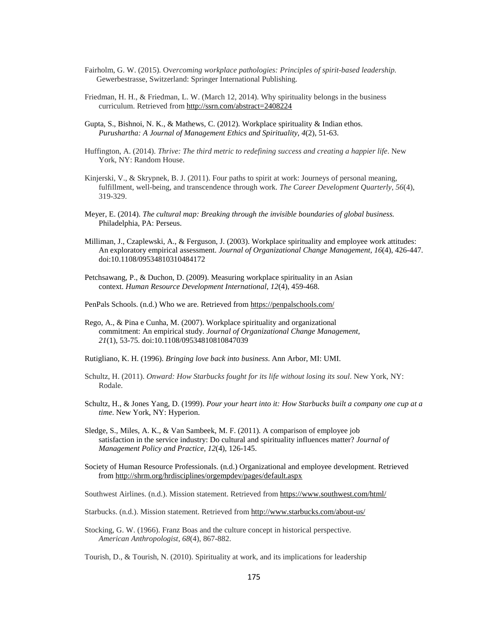- Fairholm, G. W. (2015). Ov*ercoming workplace pathologies: Principles of spirit-based leadership.* Gewerbestrasse, Switzerland: Springer International Publishing.
- Friedman, H. H., & Friedman, L. W. (March 12, 2014). Why spirituality belongs in the business curriculum. Retrieved from <http://ssrn.com/abstract=2408224>
- Gupta, S., Bishnoi, N. K., & Mathews, C. (2012). Workplace spirituality & Indian ethos. *Purushartha: A Journal of Management Ethics and Spirituality*, *4*(2), 51-63.
- Huffington, A. (2014). *Thrive: The third metric to redefining success and creating a happier life*. New York, NY: Random House.
- Kinjerski, V., & Skrypnek, B. J. (2011). Four paths to spirit at work: Journeys of personal meaning, fulfillment, well-being, and transcendence through work. *The Career Development Quarterly*, *56*(4), 319-329.
- Meyer, E. (2014). *The cultural map: Breaking through the invisible boundaries of global business.* Philadelphia, PA: Perseus.
- Milliman, J., Czaplewski, A., & Ferguson, J. (2003). Workplace spirituality and employee work attitudes: An exploratory empirical assessment. *Journal of Organizational Change Management, 16*(4), 426-447. doi:10.1108/09534810310484172
- Petchsawang, P., & Duchon, D. (2009). Measuring workplace spirituality in an Asian context. *Human Resource Development International*, *12*(4), 459-468.

PenPals Schools. (n.d.) Who we are. Retrieved from <https://penpalschools.com/>

Rego, A., & Pina e Cunha, M. (2007). Workplace spirituality and organizational commitment: An empirical study. *Journal of Organizational Change Management, 21*(1), 53-75. doi:10.1108/09534810810847039

Rutigliano, K. H. (1996). *Bringing love back into business*. Ann Arbor, MI: UMI.

- Schultz, H. (2011). *Onward: How Starbucks fought for its life without losing its soul*. New York, NY: Rodale.
- Schultz, H., & Jones Yang, D. (1999). *Pour your heart into it: How Starbucks built a company one cup at a time*. New York, NY: Hyperion.
- Sledge, S., Miles, A. K., & Van Sambeek, M. F. (2011). A comparison of employee job satisfaction in the service industry: Do cultural and spirituality influences matter? *Journal of Management Policy and Practice*, *12*(4), 126-145.
- Society of Human Resource Professionals. (n.d.) Organizational and employee development. Retrieved from <http://shrm.org/hrdisciplines/orgempdev/pages/default.aspx>

Southwest Airlines. (n.d.). Mission statement. Retrieved from <https://www.southwest.com/html/>

- Starbucks. (n.d.). Mission statement. Retrieved from <http://www.starbucks.com/about-us/>
- Stocking, G. W. (1966). Franz Boas and the culture concept in historical perspective. *American Anthropologist*, *68*(4), 867-882.

Tourish, D., & Tourish, N. (2010). Spirituality at work, and its implications for leadership